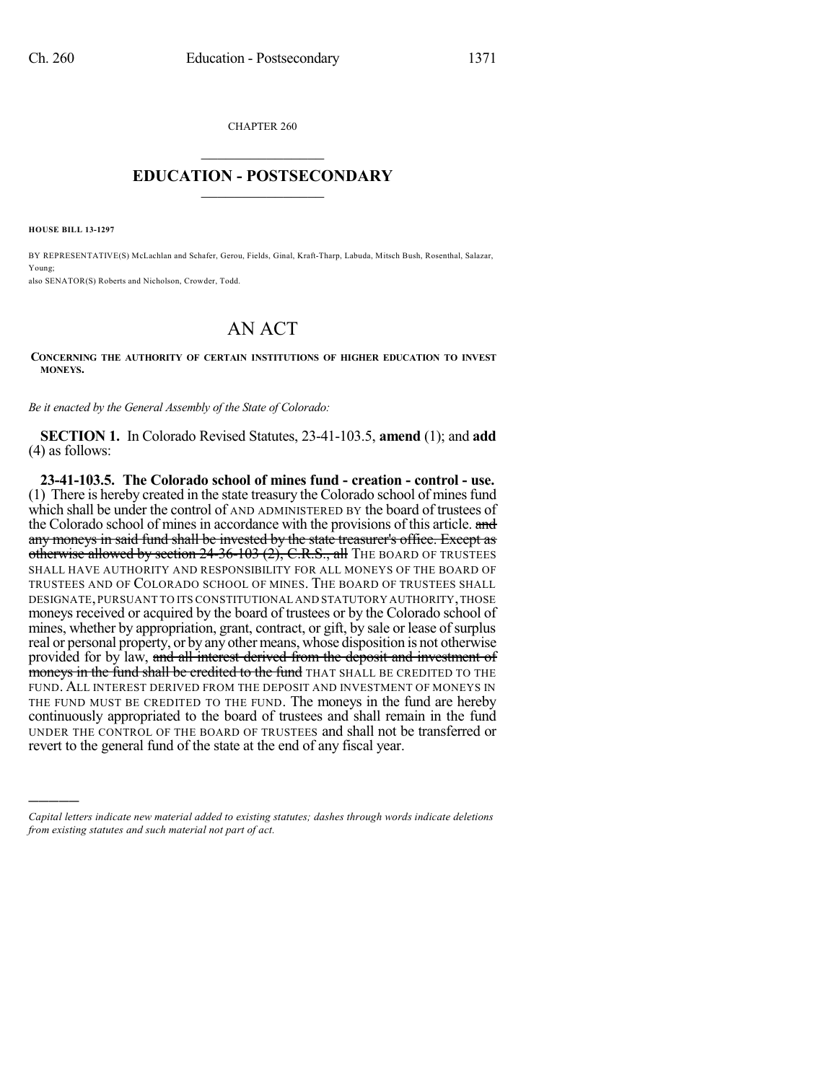CHAPTER 260  $\mathcal{L}_\text{max}$  . The set of the set of the set of the set of the set of the set of the set of the set of the set of the set of the set of the set of the set of the set of the set of the set of the set of the set of the set

## **EDUCATION - POSTSECONDARY**  $\frac{1}{2}$  ,  $\frac{1}{2}$  ,  $\frac{1}{2}$  ,  $\frac{1}{2}$  ,  $\frac{1}{2}$  ,  $\frac{1}{2}$  ,  $\frac{1}{2}$

**HOUSE BILL 13-1297**

)))))

BY REPRESENTATIVE(S) McLachlan and Schafer, Gerou, Fields, Ginal, Kraft-Tharp, Labuda, Mitsch Bush, Rosenthal, Salazar, Young;

also SENATOR(S) Roberts and Nicholson, Crowder, Todd.

## AN ACT

**CONCERNING THE AUTHORITY OF CERTAIN INSTITUTIONS OF HIGHER EDUCATION TO INVEST MONEYS.**

*Be it enacted by the General Assembly of the State of Colorado:*

**SECTION 1.** In Colorado Revised Statutes, 23-41-103.5, **amend** (1); and **add** (4) as follows:

**23-41-103.5. The Colorado school of mines fund - creation - control - use.** (1) There is hereby created in the state treasury the Colorado school of minesfund which shall be under the control of AND ADMINISTERED BY the board of trustees of the Colorado school of mines in accordance with the provisions of this article. and any moneys in said fund shall be invested by the state treasurer's office. Except as otherwise allowed by section 24-36-103 (2), C.R.S., all THE BOARD OF TRUSTEES SHALL HAVE AUTHORITY AND RESPONSIBILITY FOR ALL MONEYS OF THE BOARD OF TRUSTEES AND OF COLORADO SCHOOL OF MINES. THE BOARD OF TRUSTEES SHALL DESIGNATE,PURSUANT TO ITS CONSTITUTIONAL AND STATUTORY AUTHORITY,THOSE moneys received or acquired by the board of trustees or by the Colorado school of mines, whether by appropriation, grant, contract, or gift, by sale or lease of surplus real or personal property, or by any other means, whose disposition is not otherwise provided for by law, and all interest derived from the deposit and investment of moneys in the fund shall be credited to the fund THAT SHALL BE CREDITED TO THE FUND. ALL INTEREST DERIVED FROM THE DEPOSIT AND INVESTMENT OF MONEYS IN THE FUND MUST BE CREDITED TO THE FUND. The moneys in the fund are hereby continuously appropriated to the board of trustees and shall remain in the fund UNDER THE CONTROL OF THE BOARD OF TRUSTEES and shall not be transferred or revert to the general fund of the state at the end of any fiscal year.

*Capital letters indicate new material added to existing statutes; dashes through words indicate deletions from existing statutes and such material not part of act.*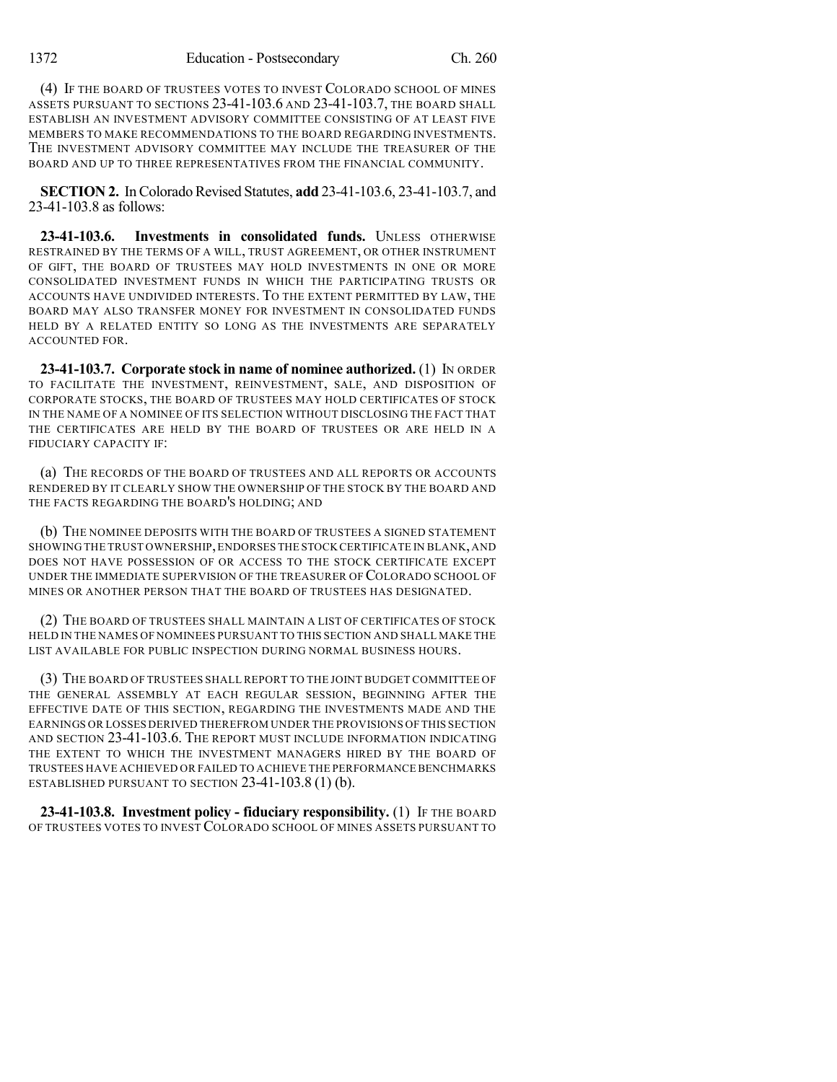(4) IF THE BOARD OF TRUSTEES VOTES TO INVEST COLORADO SCHOOL OF MINES ASSETS PURSUANT TO SECTIONS 23-41-103.6 AND 23-41-103.7, THE BOARD SHALL ESTABLISH AN INVESTMENT ADVISORY COMMITTEE CONSISTING OF AT LEAST FIVE MEMBERS TO MAKE RECOMMENDATIONS TO THE BOARD REGARDING INVESTMENTS. THE INVESTMENT ADVISORY COMMITTEE MAY INCLUDE THE TREASURER OF THE BOARD AND UP TO THREE REPRESENTATIVES FROM THE FINANCIAL COMMUNITY.

**SECTION 2.** In Colorado Revised Statutes, **add** 23-41-103.6, 23-41-103.7, and 23-41-103.8 as follows:

**23-41-103.6. Investments in consolidated funds.** UNLESS OTHERWISE RESTRAINED BY THE TERMS OF A WILL, TRUST AGREEMENT, OR OTHER INSTRUMENT OF GIFT, THE BOARD OF TRUSTEES MAY HOLD INVESTMENTS IN ONE OR MORE CONSOLIDATED INVESTMENT FUNDS IN WHICH THE PARTICIPATING TRUSTS OR ACCOUNTS HAVE UNDIVIDED INTERESTS. TO THE EXTENT PERMITTED BY LAW, THE BOARD MAY ALSO TRANSFER MONEY FOR INVESTMENT IN CONSOLIDATED FUNDS HELD BY A RELATED ENTITY SO LONG AS THE INVESTMENTS ARE SEPARATELY ACCOUNTED FOR.

**23-41-103.7. Corporate stock in name of nominee authorized.** (1) IN ORDER TO FACILITATE THE INVESTMENT, REINVESTMENT, SALE, AND DISPOSITION OF CORPORATE STOCKS, THE BOARD OF TRUSTEES MAY HOLD CERTIFICATES OF STOCK IN THE NAME OF A NOMINEE OF ITS SELECTION WITHOUT DISCLOSING THE FACT THAT THE CERTIFICATES ARE HELD BY THE BOARD OF TRUSTEES OR ARE HELD IN A FIDUCIARY CAPACITY IF:

(a) THE RECORDS OF THE BOARD OF TRUSTEES AND ALL REPORTS OR ACCOUNTS RENDERED BY IT CLEARLY SHOW THE OWNERSHIP OF THE STOCK BY THE BOARD AND THE FACTS REGARDING THE BOARD'S HOLDING; AND

(b) THE NOMINEE DEPOSITS WITH THE BOARD OF TRUSTEES A SIGNED STATEMENT SHOWING THE TRUST OWNERSHIP,ENDORSES THE STOCK CERTIFICATE IN BLANK,AND DOES NOT HAVE POSSESSION OF OR ACCESS TO THE STOCK CERTIFICATE EXCEPT UNDER THE IMMEDIATE SUPERVISION OF THE TREASURER OF COLORADO SCHOOL OF MINES OR ANOTHER PERSON THAT THE BOARD OF TRUSTEES HAS DESIGNATED.

(2) THE BOARD OF TRUSTEES SHALL MAINTAIN A LIST OF CERTIFICATES OF STOCK HELD IN THE NAMES OF NOMINEES PURSUANT TO THIS SECTION AND SHALL MAKE THE LIST AVAILABLE FOR PUBLIC INSPECTION DURING NORMAL BUSINESS HOURS.

(3) THE BOARD OF TRUSTEES SHALL REPORT TO THE JOINT BUDGET COMMITTEE OF THE GENERAL ASSEMBLY AT EACH REGULAR SESSION, BEGINNING AFTER THE EFFECTIVE DATE OF THIS SECTION, REGARDING THE INVESTMENTS MADE AND THE EARNINGS OR LOSSES DERIVED THEREFROM UNDER THE PROVISIONS OF THIS SECTION AND SECTION 23-41-103.6. THE REPORT MUST INCLUDE INFORMATION INDICATING THE EXTENT TO WHICH THE INVESTMENT MANAGERS HIRED BY THE BOARD OF TRUSTEES HAVE ACHIEVED OR FAILED TO ACHIEVE THE PERFORMANCE BENCHMARKS ESTABLISHED PURSUANT TO SECTION 23-41-103.8 (1) (b).

**23-41-103.8. Investment policy - fiduciary responsibility.** (1) IF THE BOARD OF TRUSTEES VOTES TO INVEST COLORADO SCHOOL OF MINES ASSETS PURSUANT TO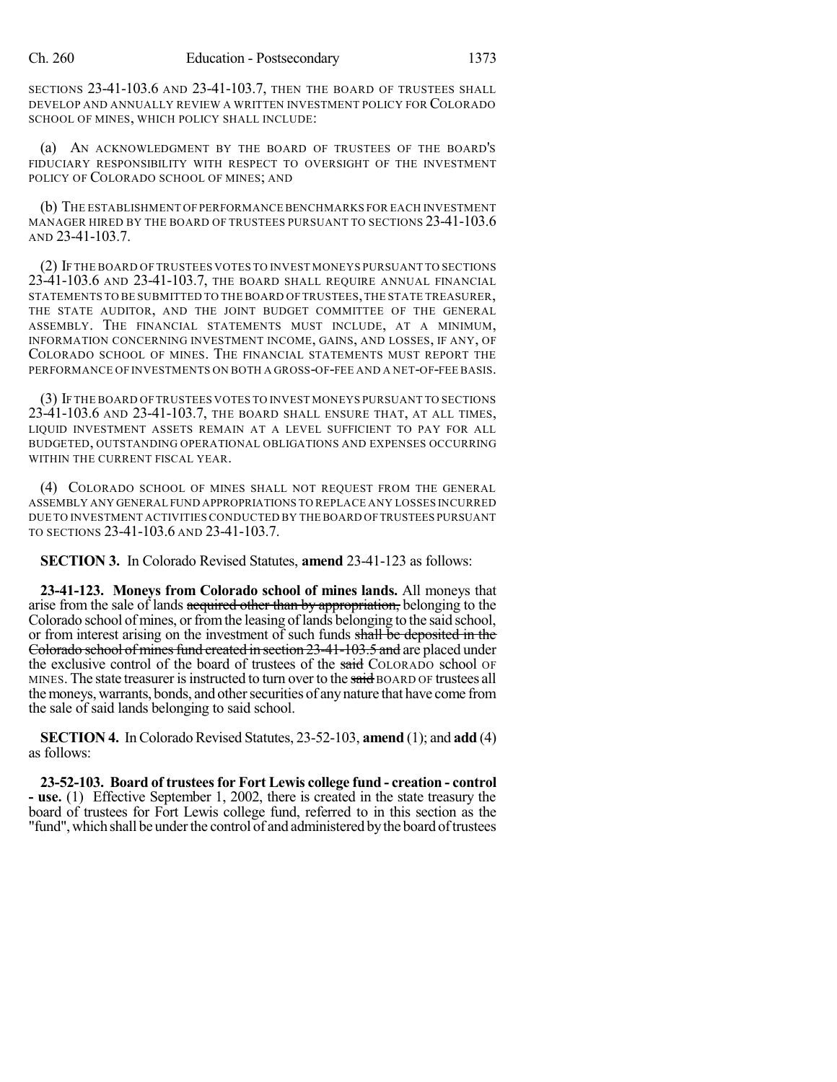SECTIONS 23-41-103.6 AND 23-41-103.7, THEN THE BOARD OF TRUSTEES SHALL DEVELOP AND ANNUALLY REVIEW A WRITTEN INVESTMENT POLICY FOR COLORADO SCHOOL OF MINES, WHICH POLICY SHALL INCLUDE:

(a) AN ACKNOWLEDGMENT BY THE BOARD OF TRUSTEES OF THE BOARD'S FIDUCIARY RESPONSIBILITY WITH RESPECT TO OVERSIGHT OF THE INVESTMENT POLICY OF COLORADO SCHOOL OF MINES; AND

(b) THE ESTABLISHMENT OF PERFORMANCE BENCHMARKS FOR EACH INVESTMENT MANAGER HIRED BY THE BOARD OF TRUSTEES PURSUANT TO SECTIONS 23-41-103.6 AND 23-41-103.7.

(2) IF THE BOARD OF TRUSTEES VOTES TO INVEST MONEYS PURSUANT TO SECTIONS 23-41-103.6 AND 23-41-103.7, THE BOARD SHALL REQUIRE ANNUAL FINANCIAL STATEMENTS TO BE SUBMITTED TO THE BOARD OF TRUSTEES,THE STATE TREASURER, THE STATE AUDITOR, AND THE JOINT BUDGET COMMITTEE OF THE GENERAL ASSEMBLY. THE FINANCIAL STATEMENTS MUST INCLUDE, AT A MINIMUM, INFORMATION CONCERNING INVESTMENT INCOME, GAINS, AND LOSSES, IF ANY, OF COLORADO SCHOOL OF MINES. THE FINANCIAL STATEMENTS MUST REPORT THE PERFORMANCE OF INVESTMENTS ON BOTH A GROSS-OF-FEE AND A NET-OF-FEE BASIS.

(3) IF THE BOARD OF TRUSTEES VOTES TO INVEST MONEYS PURSUANT TO SECTIONS 23-41-103.6 AND 23-41-103.7, THE BOARD SHALL ENSURE THAT, AT ALL TIMES, LIQUID INVESTMENT ASSETS REMAIN AT A LEVEL SUFFICIENT TO PAY FOR ALL BUDGETED, OUTSTANDING OPERATIONAL OBLIGATIONS AND EXPENSES OCCURRING WITHIN THE CURRENT FISCAL YEAR.

(4) COLORADO SCHOOL OF MINES SHALL NOT REQUEST FROM THE GENERAL ASSEMBLY ANY GENERAL FUND APPROPRIATIONS TO REPLACE ANY LOSSES INCURRED DUE TO INVESTMENT ACTIVITIES CONDUCTED BY THE BOARD OFTRUSTEES PURSUANT TO SECTIONS 23-41-103.6 AND 23-41-103.7.

**SECTION 3.** In Colorado Revised Statutes, **amend** 23-41-123 as follows:

**23-41-123. Moneys from Colorado school of mines lands.** All moneys that arise from the sale of lands acquired other than by appropriation, belonging to the Colorado school of mines, or from the leasing of lands belonging to the said school, or from interest arising on the investment of such funds shall be deposited in the Colorado school of mines fund created in section 23-41-103.5 and are placed under the exclusive control of the board of trustees of the said COLORADO school OF MINES. The state treasurer is instructed to turn over to the said BOARD OF trustees all the moneys, warrants, bonds, and other securities of any nature that have come from the sale of said lands belonging to said school.

**SECTION 4.** In Colorado Revised Statutes, 23-52-103, **amend** (1); and **add** (4) as follows:

**23-52-103. Board of trusteesfor Fort Lewis college fund - creation - control - use.** (1) Effective September 1, 2002, there is created in the state treasury the board of trustees for Fort Lewis college fund, referred to in this section as the "fund", which shall be under the control of and administered by the board of trustees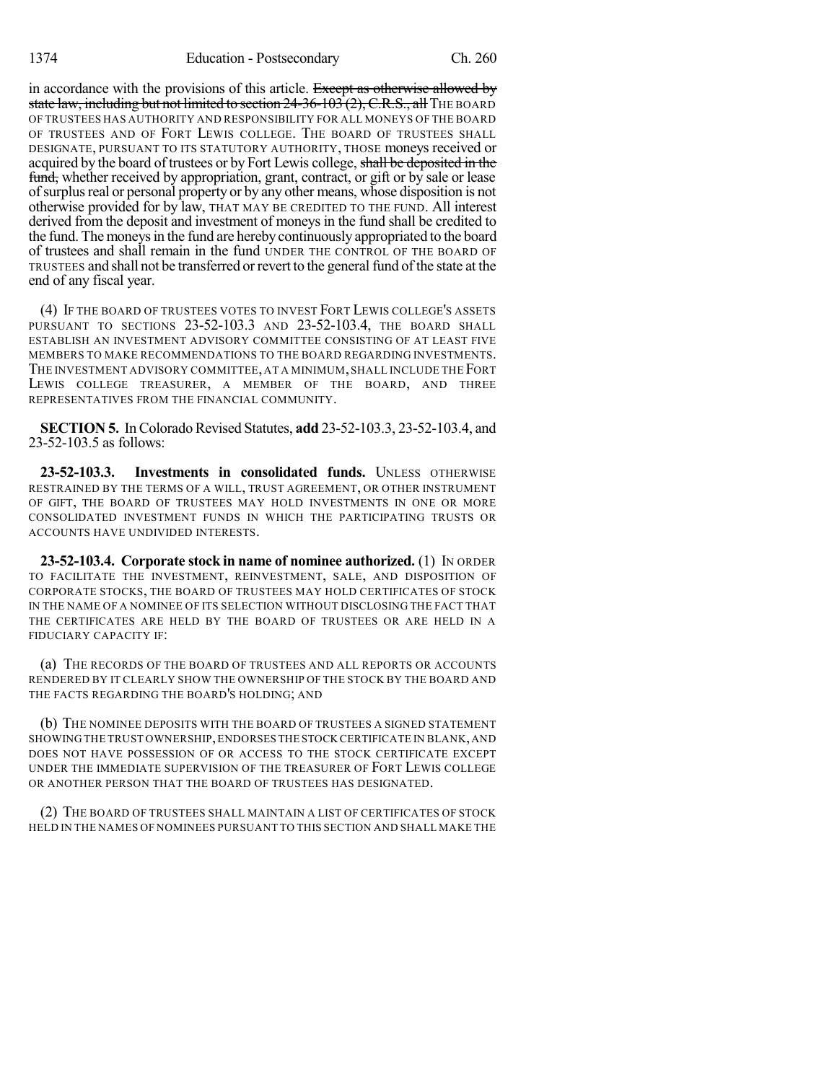in accordance with the provisions of this article. Except as otherwise allowed by state law, including but not limited to section  $24-36-103(2)$ , C.R.S., all THE BOARD OF TRUSTEES HAS AUTHORITY AND RESPONSIBILITY FOR ALL MONEYS OF THE BOARD OF TRUSTEES AND OF FORT LEWIS COLLEGE. THE BOARD OF TRUSTEES SHALL DESIGNATE, PURSUANT TO ITS STATUTORY AUTHORITY, THOSE moneys received or acquired by the board of trustees or by Fort Lewis college, shall be deposited in the fund, whether received by appropriation, grant, contract, or gift or by sale or lease ofsurplusreal or personal property or by any other means, whose disposition is not otherwise provided for by law, THAT MAY BE CREDITED TO THE FUND. All interest derived from the deposit and investment of moneys in the fund shall be credited to the fund. The moneys in the fund are hereby continuously appropriated to the board of trustees and shall remain in the fund UNDER THE CONTROL OF THE BOARD OF TRUSTEES and shall not be transferred orrevert to the general fund of the state at the end of any fiscal year.

(4) IF THE BOARD OF TRUSTEES VOTES TO INVEST FORT LEWIS COLLEGE'S ASSETS PURSUANT TO SECTIONS 23-52-103.3 AND 23-52-103.4, THE BOARD SHALL ESTABLISH AN INVESTMENT ADVISORY COMMITTEE CONSISTING OF AT LEAST FIVE MEMBERS TO MAKE RECOMMENDATIONS TO THE BOARD REGARDING INVESTMENTS. THE INVESTMENT ADVISORY COMMITTEE, AT A MINIMUM, SHALL INCLUDE THE FORT LEWIS COLLEGE TREASURER, A MEMBER OF THE BOARD, AND THREE REPRESENTATIVES FROM THE FINANCIAL COMMUNITY.

**SECTION 5.** In Colorado Revised Statutes, **add** 23-52-103.3, 23-52-103.4, and 23-52-103.5 as follows:

**23-52-103.3. Investments in consolidated funds.** UNLESS OTHERWISE RESTRAINED BY THE TERMS OF A WILL, TRUST AGREEMENT, OR OTHER INSTRUMENT OF GIFT, THE BOARD OF TRUSTEES MAY HOLD INVESTMENTS IN ONE OR MORE CONSOLIDATED INVESTMENT FUNDS IN WHICH THE PARTICIPATING TRUSTS OR ACCOUNTS HAVE UNDIVIDED INTERESTS.

**23-52-103.4. Corporate stock in name of nominee authorized.** (1) IN ORDER TO FACILITATE THE INVESTMENT, REINVESTMENT, SALE, AND DISPOSITION OF CORPORATE STOCKS, THE BOARD OF TRUSTEES MAY HOLD CERTIFICATES OF STOCK IN THE NAME OF A NOMINEE OF ITS SELECTION WITHOUT DISCLOSING THE FACT THAT THE CERTIFICATES ARE HELD BY THE BOARD OF TRUSTEES OR ARE HELD IN A FIDUCIARY CAPACITY IF:

(a) THE RECORDS OF THE BOARD OF TRUSTEES AND ALL REPORTS OR ACCOUNTS RENDERED BY IT CLEARLY SHOW THE OWNERSHIP OF THE STOCK BY THE BOARD AND THE FACTS REGARDING THE BOARD'S HOLDING; AND

(b) THE NOMINEE DEPOSITS WITH THE BOARD OF TRUSTEES A SIGNED STATEMENT SHOWING THE TRUST OWNERSHIP,ENDORSES THE STOCK CERTIFICATE IN BLANK,AND DOES NOT HAVE POSSESSION OF OR ACCESS TO THE STOCK CERTIFICATE EXCEPT UNDER THE IMMEDIATE SUPERVISION OF THE TREASURER OF FORT LEWIS COLLEGE OR ANOTHER PERSON THAT THE BOARD OF TRUSTEES HAS DESIGNATED.

(2) THE BOARD OF TRUSTEES SHALL MAINTAIN A LIST OF CERTIFICATES OF STOCK HELD IN THE NAMES OF NOMINEES PURSUANT TO THIS SECTION AND SHALL MAKE THE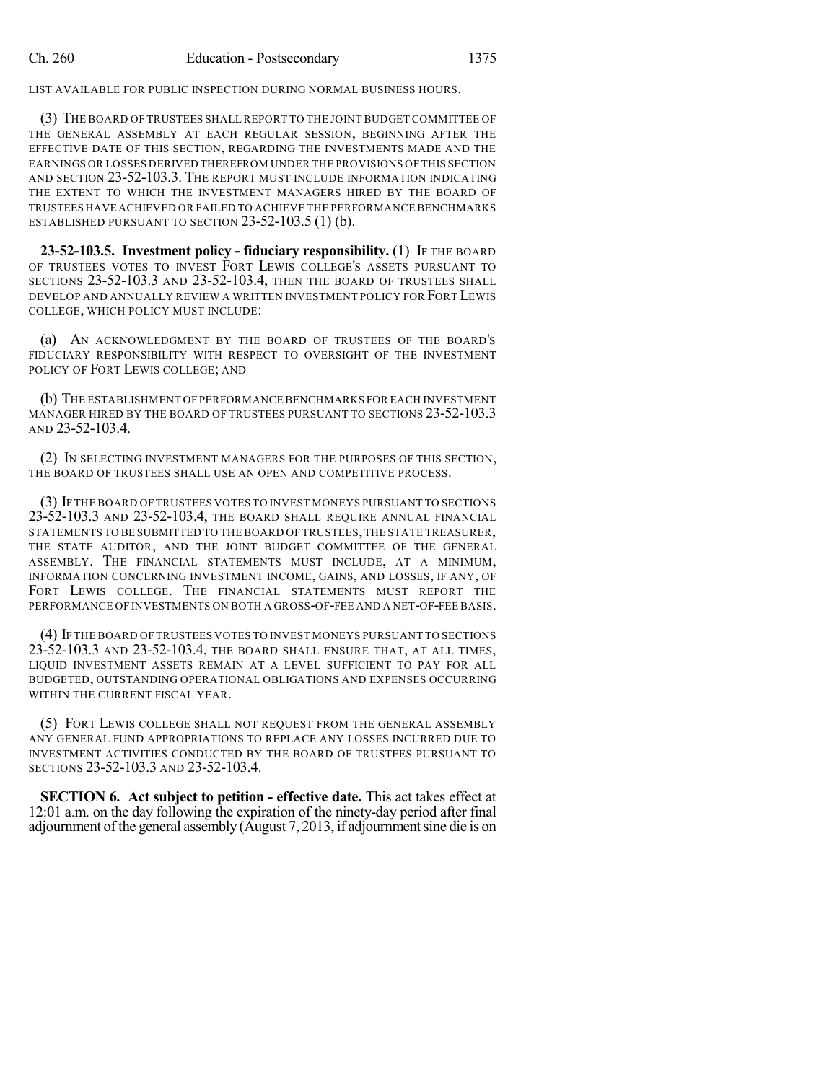LIST AVAILABLE FOR PUBLIC INSPECTION DURING NORMAL BUSINESS HOURS.

(3) THE BOARD OF TRUSTEES SHALL REPORT TO THE JOINT BUDGET COMMITTEE OF THE GENERAL ASSEMBLY AT EACH REGULAR SESSION, BEGINNING AFTER THE EFFECTIVE DATE OF THIS SECTION, REGARDING THE INVESTMENTS MADE AND THE EARNINGS OR LOSSES DERIVED THEREFROM UNDER THE PROVISIONS OF THIS SECTION AND SECTION 23-52-103.3. THE REPORT MUST INCLUDE INFORMATION INDICATING THE EXTENT TO WHICH THE INVESTMENT MANAGERS HIRED BY THE BOARD OF TRUSTEES HAVE ACHIEVED OR FAILED TO ACHIEVE THE PERFORMANCE BENCHMARKS ESTABLISHED PURSUANT TO SECTION 23-52-103.5 (1) (b).

**23-52-103.5. Investment policy - fiduciary responsibility.** (1) IF THE BOARD OF TRUSTEES VOTES TO INVEST FORT LEWIS COLLEGE'S ASSETS PURSUANT TO SECTIONS 23-52-103.3 AND 23-52-103.4, THEN THE BOARD OF TRUSTEES SHALL DEVELOP AND ANNUALLY REVIEW A WRITTEN INVESTMENT POLICY FOR FORT LEWIS COLLEGE, WHICH POLICY MUST INCLUDE:

(a) AN ACKNOWLEDGMENT BY THE BOARD OF TRUSTEES OF THE BOARD'S FIDUCIARY RESPONSIBILITY WITH RESPECT TO OVERSIGHT OF THE INVESTMENT POLICY OF FORT LEWIS COLLEGE; AND

(b) THE ESTABLISHMENT OF PERFORMANCE BENCHMARKS FOR EACH INVESTMENT MANAGER HIRED BY THE BOARD OF TRUSTEES PURSUANT TO SECTIONS 23-52-103.3 AND 23-52-103.4.

(2) IN SELECTING INVESTMENT MANAGERS FOR THE PURPOSES OF THIS SECTION, THE BOARD OF TRUSTEES SHALL USE AN OPEN AND COMPETITIVE PROCESS.

(3) IF THE BOARD OF TRUSTEES VOTES TO INVEST MONEYS PURSUANT TO SECTIONS 23-52-103.3 AND 23-52-103.4, THE BOARD SHALL REQUIRE ANNUAL FINANCIAL STATEMENTS TO BE SUBMITTED TO THE BOARD OF TRUSTEES,THE STATE TREASURER, THE STATE AUDITOR, AND THE JOINT BUDGET COMMITTEE OF THE GENERAL ASSEMBLY. THE FINANCIAL STATEMENTS MUST INCLUDE, AT A MINIMUM, INFORMATION CONCERNING INVESTMENT INCOME, GAINS, AND LOSSES, IF ANY, OF FORT LEWIS COLLEGE. THE FINANCIAL STATEMENTS MUST REPORT THE PERFORMANCE OF INVESTMENTS ON BOTH A GROSS-OF-FEE AND A NET-OF-FEE BASIS.

(4) IF THE BOARD OF TRUSTEES VOTES TO INVEST MONEYS PURSUANT TO SECTIONS 23-52-103.3 AND 23-52-103.4, THE BOARD SHALL ENSURE THAT, AT ALL TIMES, LIQUID INVESTMENT ASSETS REMAIN AT A LEVEL SUFFICIENT TO PAY FOR ALL BUDGETED, OUTSTANDING OPERATIONAL OBLIGATIONS AND EXPENSES OCCURRING WITHIN THE CURRENT FISCAL YEAR.

(5) FORT LEWIS COLLEGE SHALL NOT REQUEST FROM THE GENERAL ASSEMBLY ANY GENERAL FUND APPROPRIATIONS TO REPLACE ANY LOSSES INCURRED DUE TO INVESTMENT ACTIVITIES CONDUCTED BY THE BOARD OF TRUSTEES PURSUANT TO SECTIONS 23-52-103.3 AND 23-52-103.4.

**SECTION 6. Act subject to petition - effective date.** This act takes effect at 12:01 a.m. on the day following the expiration of the ninety-day period after final adjournment of the general assembly  $(August 7, 2013, if adjourment sine die is on$